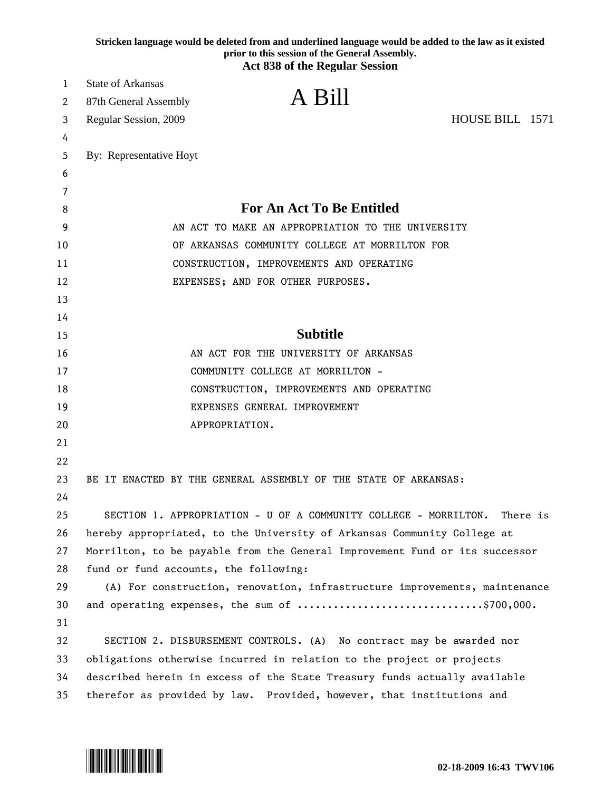|        | Stricken language would be deleted from and underlined language would be added to the law as it existed<br>prior to this session of the General Assembly. |
|--------|-----------------------------------------------------------------------------------------------------------------------------------------------------------|
|        | <b>Act 838 of the Regular Session</b>                                                                                                                     |
| 1      | <b>State of Arkansas</b><br>A Bill                                                                                                                        |
| 2      | 87th General Assembly                                                                                                                                     |
| 3      | HOUSE BILL 1571<br>Regular Session, 2009                                                                                                                  |
| 4      |                                                                                                                                                           |
| 5      | By: Representative Hoyt                                                                                                                                   |
| 6      |                                                                                                                                                           |
| 7<br>8 | <b>For An Act To Be Entitled</b>                                                                                                                          |
| 9      | AN ACT TO MAKE AN APPROPRIATION TO THE UNIVERSITY                                                                                                         |
| 10     | OF ARKANSAS COMMUNITY COLLEGE AT MORRILTON FOR                                                                                                            |
| 11     | CONSTRUCTION, IMPROVEMENTS AND OPERATING                                                                                                                  |
| 12     | EXPENSES; AND FOR OTHER PURPOSES.                                                                                                                         |
| 13     |                                                                                                                                                           |
| 14     |                                                                                                                                                           |
| 15     | <b>Subtitle</b>                                                                                                                                           |
| 16     | AN ACT FOR THE UNIVERSITY OF ARKANSAS                                                                                                                     |
| 17     | COMMUNITY COLLEGE AT MORRILTON -                                                                                                                          |
| 18     | CONSTRUCTION, IMPROVEMENTS AND OPERATING                                                                                                                  |
| 19     | EXPENSES GENERAL IMPROVEMENT                                                                                                                              |
| 20     | APPROPRIATION.                                                                                                                                            |
| 21     |                                                                                                                                                           |
| 22     |                                                                                                                                                           |
| 23     | BE IT ENACTED BY THE GENERAL ASSEMBLY OF THE STATE OF ARKANSAS:                                                                                           |
| 24     |                                                                                                                                                           |
| 25     | SECTION 1. APPROPRIATION - U OF A COMMUNITY COLLEGE - MORRILTON.<br>There is                                                                              |
| 26     | hereby appropriated, to the University of Arkansas Community College at                                                                                   |
| 27     | Morrilton, to be payable from the General Improvement Fund or its successor                                                                               |
| 28     | fund or fund accounts, the following:                                                                                                                     |
| 29     | (A) For construction, renovation, infrastructure improvements, maintenance                                                                                |
| 30     | and operating expenses, the sum of \$700,000.                                                                                                             |
| 31     |                                                                                                                                                           |
| 32     | SECTION 2. DISBURSEMENT CONTROLS. (A) No contract may be awarded nor                                                                                      |
| 33     | obligations otherwise incurred in relation to the project or projects                                                                                     |
| 34     | described herein in excess of the State Treasury funds actually available                                                                                 |
| 35     | therefor as provided by law. Provided, however, that institutions and                                                                                     |